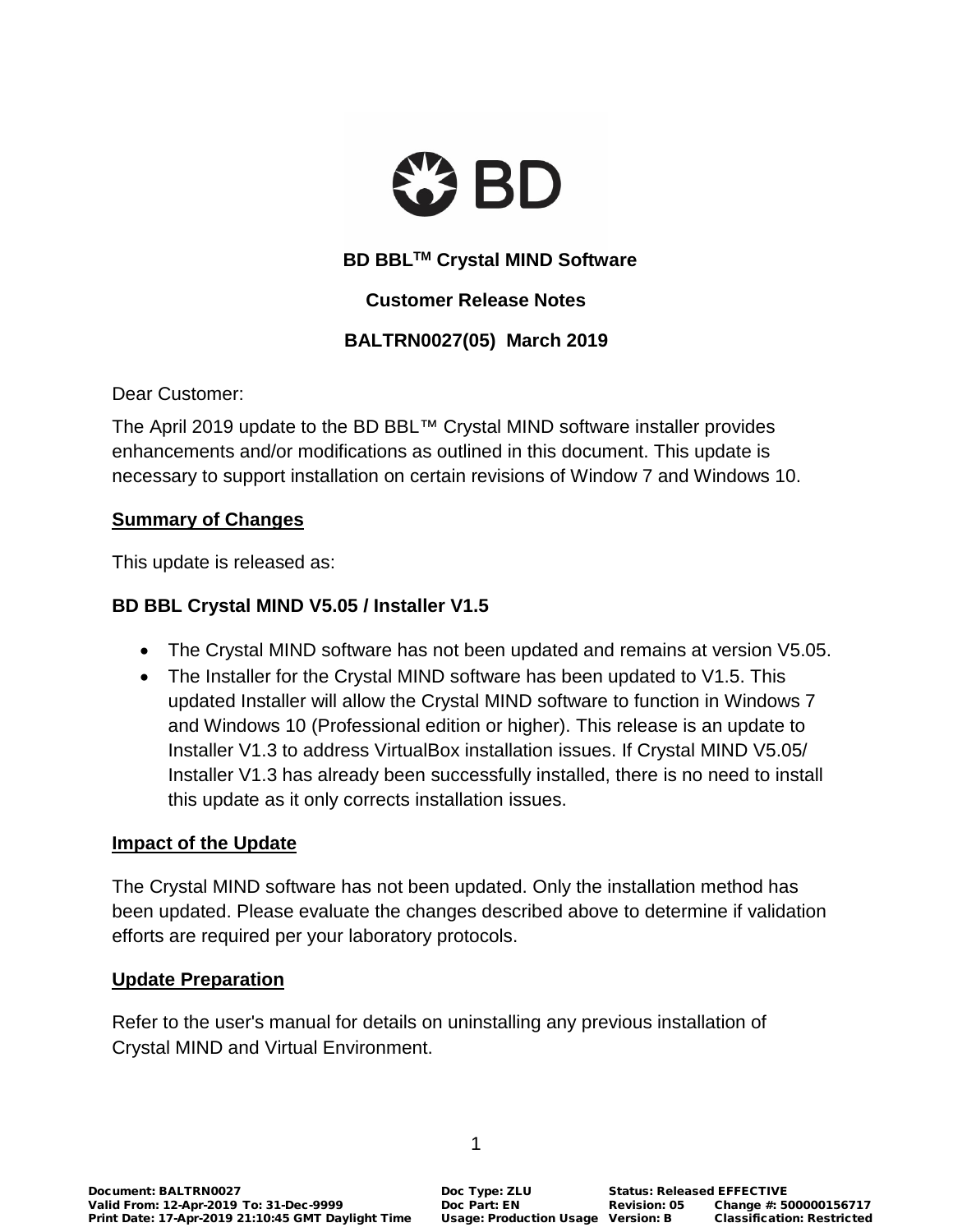

# **BD BBLTM Crystal MIND Software**

## **Customer Release Notes**

# **BALTRN0027(05) March 2019**

Dear Customer:

The April 2019 update to the BD BBL™ Crystal MIND software installer provides enhancements and/or modifications as outlined in this document. This update is necessary to support installation on certain revisions of Window 7 and Windows 10.

#### **Summary of Changes**

This update is released as:

## **BD BBL Crystal MIND V5.05 / Installer V1.5**

- The Crystal MIND software has not been updated and remains at version V5.05.
- The Installer for the Crystal MIND software has been updated to V1.5. This updated Installer will allow the Crystal MIND software to function in Windows 7 and Windows 10 (Professional edition or higher). This release is an update to Installer V1.3 to address VirtualBox installation issues. If Crystal MIND V5.05/ Installer V1.3 has already been successfully installed, there is no need to install this update as it only corrects installation issues.

#### **Impact of the Update**

The Crystal MIND software has not been updated. Only the installation method has been updated. Please evaluate the changes described above to determine if validation efforts are required per your laboratory protocols.

#### **Update Preparation**

Refer to the user's manual for details on uninstalling any previous installation of Crystal MIND and Virtual Environment.